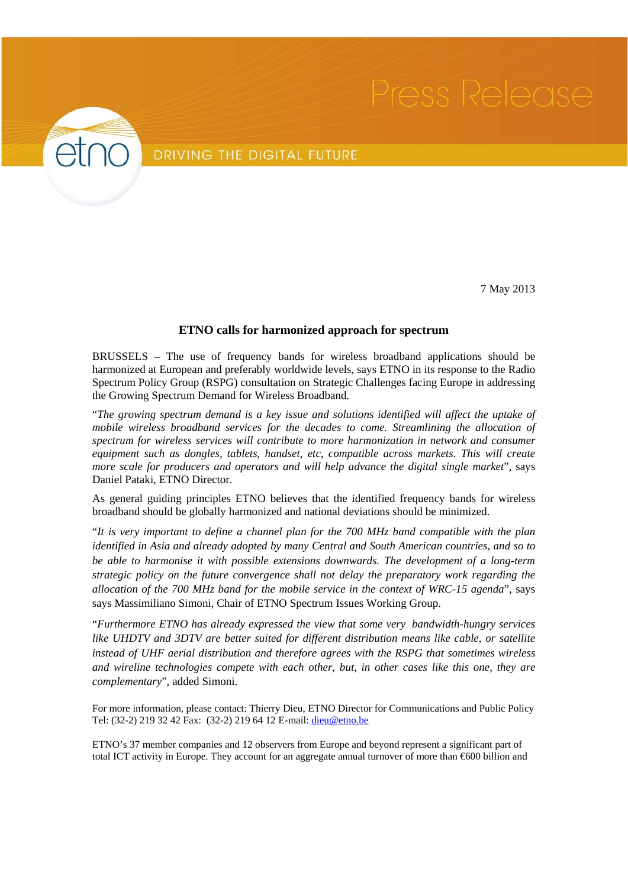

## DRIVING THE DIGITAL FUTURE

7 May 2013

## **ETNO calls for harmonized approach for spectrum**

BRUSSELS – The use of frequency bands for wireless broadband applications should be harmonized at European and preferably worldwide levels, says ETNO in its response to the Radio Spectrum Policy Group (RSPG) consultation on Strategic Challenges facing Europe in addressing the Growing Spectrum Demand for Wireless Broadband.

"*The growing spectrum demand is a key issue and solutions identified will affect the uptake of mobile wireless broadband services for the decades to come. Streamlining the allocation of spectrum for wireless services will contribute to more harmonization in network and consumer equipment such as dongles, tablets, handset, etc, compatible across markets. This will create more scale for producers and operators and will help advance the digital single market*", says Daniel Pataki, ETNO Director.

As general guiding principles ETNO believes that the identified frequency bands for wireless broadband should be globally harmonized and national deviations should be minimized.

"*It is very important to define a channel plan for the 700 MHz band compatible with the plan identified in Asia and already adopted by many Central and South American countries, and so to be able to harmonise it with possible extensions downwards. The development of a long-term strategic policy on the future convergence shall not delay the preparatory work regarding the allocation of the 700 MHz band for the mobile service in the context of WRC-15 agenda*", says says Massimiliano Simoni, Chair of ETNO Spectrum Issues Working Group.

"*Furthermore ETNO has already expressed the view that some very bandwidth-hungry services like UHDTV and 3DTV are better suited for different distribution means like cable, or satellite instead of UHF aerial distribution and therefore agrees with the RSPG that sometimes wireless and wireline technologies compete with each other, but, in other cases like this one, they are complementary*", added Simoni.

For more information, please contact: Thierry Dieu, ETNO Director for Communications and Public Policy Tel: (32-2) 219 32 42 Fax: (32-2) 219 64 12 E-mail: dieu@etno.be

ETNO's 37 member companies and 12 observers from Europe and beyond represent a significant part of total ICT activity in Europe. They account for an aggregate annual turnover of more than €600 billion and